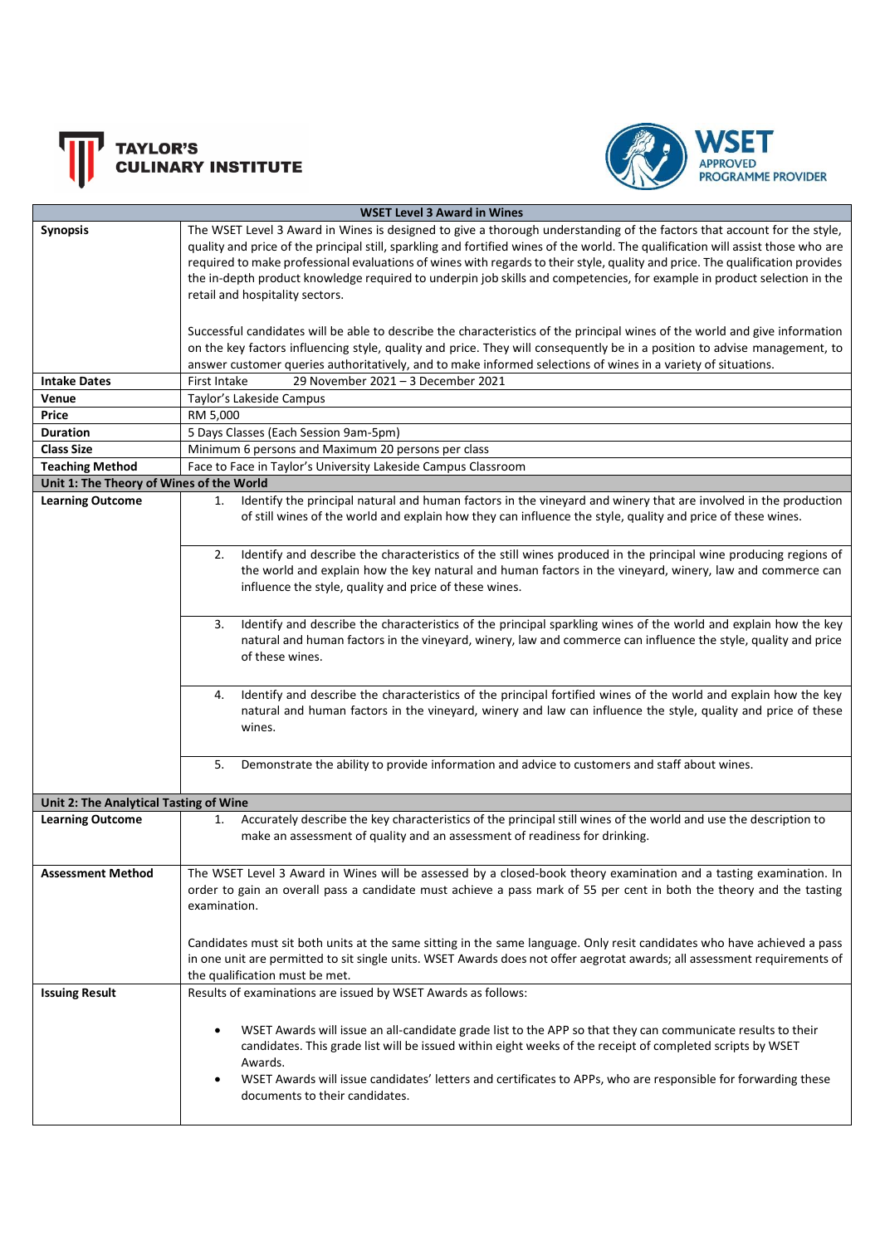



| <b>WSET Level 3 Award in Wines</b>       |                                                                                                                                                                                                                                                                                                                                                                                                                                                                                                                                                                                                                                                                                                                                                                                                                                                                                                                                           |  |
|------------------------------------------|-------------------------------------------------------------------------------------------------------------------------------------------------------------------------------------------------------------------------------------------------------------------------------------------------------------------------------------------------------------------------------------------------------------------------------------------------------------------------------------------------------------------------------------------------------------------------------------------------------------------------------------------------------------------------------------------------------------------------------------------------------------------------------------------------------------------------------------------------------------------------------------------------------------------------------------------|--|
| <b>Synopsis</b>                          | The WSET Level 3 Award in Wines is designed to give a thorough understanding of the factors that account for the style,<br>quality and price of the principal still, sparkling and fortified wines of the world. The qualification will assist those who are<br>required to make professional evaluations of wines with regards to their style, quality and price. The qualification provides<br>the in-depth product knowledge required to underpin job skills and competencies, for example in product selection in the<br>retail and hospitality sectors.<br>Successful candidates will be able to describe the characteristics of the principal wines of the world and give information<br>on the key factors influencing style, quality and price. They will consequently be in a position to advise management, to<br>answer customer queries authoritatively, and to make informed selections of wines in a variety of situations. |  |
| <b>Intake Dates</b>                      | 29 November 2021 - 3 December 2021<br>First Intake                                                                                                                                                                                                                                                                                                                                                                                                                                                                                                                                                                                                                                                                                                                                                                                                                                                                                        |  |
| Venue                                    | Taylor's Lakeside Campus                                                                                                                                                                                                                                                                                                                                                                                                                                                                                                                                                                                                                                                                                                                                                                                                                                                                                                                  |  |
| Price                                    | RM 5,000                                                                                                                                                                                                                                                                                                                                                                                                                                                                                                                                                                                                                                                                                                                                                                                                                                                                                                                                  |  |
| Duration                                 | 5 Days Classes (Each Session 9am-5pm)                                                                                                                                                                                                                                                                                                                                                                                                                                                                                                                                                                                                                                                                                                                                                                                                                                                                                                     |  |
| <b>Class Size</b>                        | Minimum 6 persons and Maximum 20 persons per class                                                                                                                                                                                                                                                                                                                                                                                                                                                                                                                                                                                                                                                                                                                                                                                                                                                                                        |  |
| <b>Teaching Method</b>                   | Face to Face in Taylor's University Lakeside Campus Classroom                                                                                                                                                                                                                                                                                                                                                                                                                                                                                                                                                                                                                                                                                                                                                                                                                                                                             |  |
| Unit 1: The Theory of Wines of the World |                                                                                                                                                                                                                                                                                                                                                                                                                                                                                                                                                                                                                                                                                                                                                                                                                                                                                                                                           |  |
| <b>Learning Outcome</b>                  | Identify the principal natural and human factors in the vineyard and winery that are involved in the production<br>1.<br>of still wines of the world and explain how they can influence the style, quality and price of these wines.                                                                                                                                                                                                                                                                                                                                                                                                                                                                                                                                                                                                                                                                                                      |  |
|                                          | Identify and describe the characteristics of the still wines produced in the principal wine producing regions of<br>2.<br>the world and explain how the key natural and human factors in the vineyard, winery, law and commerce can<br>influence the style, quality and price of these wines.                                                                                                                                                                                                                                                                                                                                                                                                                                                                                                                                                                                                                                             |  |
|                                          | Identify and describe the characteristics of the principal sparkling wines of the world and explain how the key<br>3.<br>natural and human factors in the vineyard, winery, law and commerce can influence the style, quality and price<br>of these wines.                                                                                                                                                                                                                                                                                                                                                                                                                                                                                                                                                                                                                                                                                |  |
|                                          | Identify and describe the characteristics of the principal fortified wines of the world and explain how the key<br>4.<br>natural and human factors in the vineyard, winery and law can influence the style, quality and price of these<br>wines.                                                                                                                                                                                                                                                                                                                                                                                                                                                                                                                                                                                                                                                                                          |  |
|                                          | Demonstrate the ability to provide information and advice to customers and staff about wines.<br>5.                                                                                                                                                                                                                                                                                                                                                                                                                                                                                                                                                                                                                                                                                                                                                                                                                                       |  |
| Unit 2: The Analytical Tasting of Wine   |                                                                                                                                                                                                                                                                                                                                                                                                                                                                                                                                                                                                                                                                                                                                                                                                                                                                                                                                           |  |
| <b>Learning Outcome</b>                  | Accurately describe the key characteristics of the principal still wines of the world and use the description to<br>1.<br>make an assessment of quality and an assessment of readiness for drinking.                                                                                                                                                                                                                                                                                                                                                                                                                                                                                                                                                                                                                                                                                                                                      |  |
| <b>Assessment Method</b>                 | The WSET Level 3 Award in Wines will be assessed by a closed-book theory examination and a tasting examination. In<br>order to gain an overall pass a candidate must achieve a pass mark of 55 per cent in both the theory and the tasting<br>examination.                                                                                                                                                                                                                                                                                                                                                                                                                                                                                                                                                                                                                                                                                |  |
|                                          | Candidates must sit both units at the same sitting in the same language. Only resit candidates who have achieved a pass<br>in one unit are permitted to sit single units. WSET Awards does not offer aegrotat awards; all assessment requirements of<br>the qualification must be met.                                                                                                                                                                                                                                                                                                                                                                                                                                                                                                                                                                                                                                                    |  |
| <b>Issuing Result</b>                    | Results of examinations are issued by WSET Awards as follows:<br>WSET Awards will issue an all-candidate grade list to the APP so that they can communicate results to their<br>candidates. This grade list will be issued within eight weeks of the receipt of completed scripts by WSET<br>Awards.<br>WSET Awards will issue candidates' letters and certificates to APPs, who are responsible for forwarding these<br>documents to their candidates.                                                                                                                                                                                                                                                                                                                                                                                                                                                                                   |  |